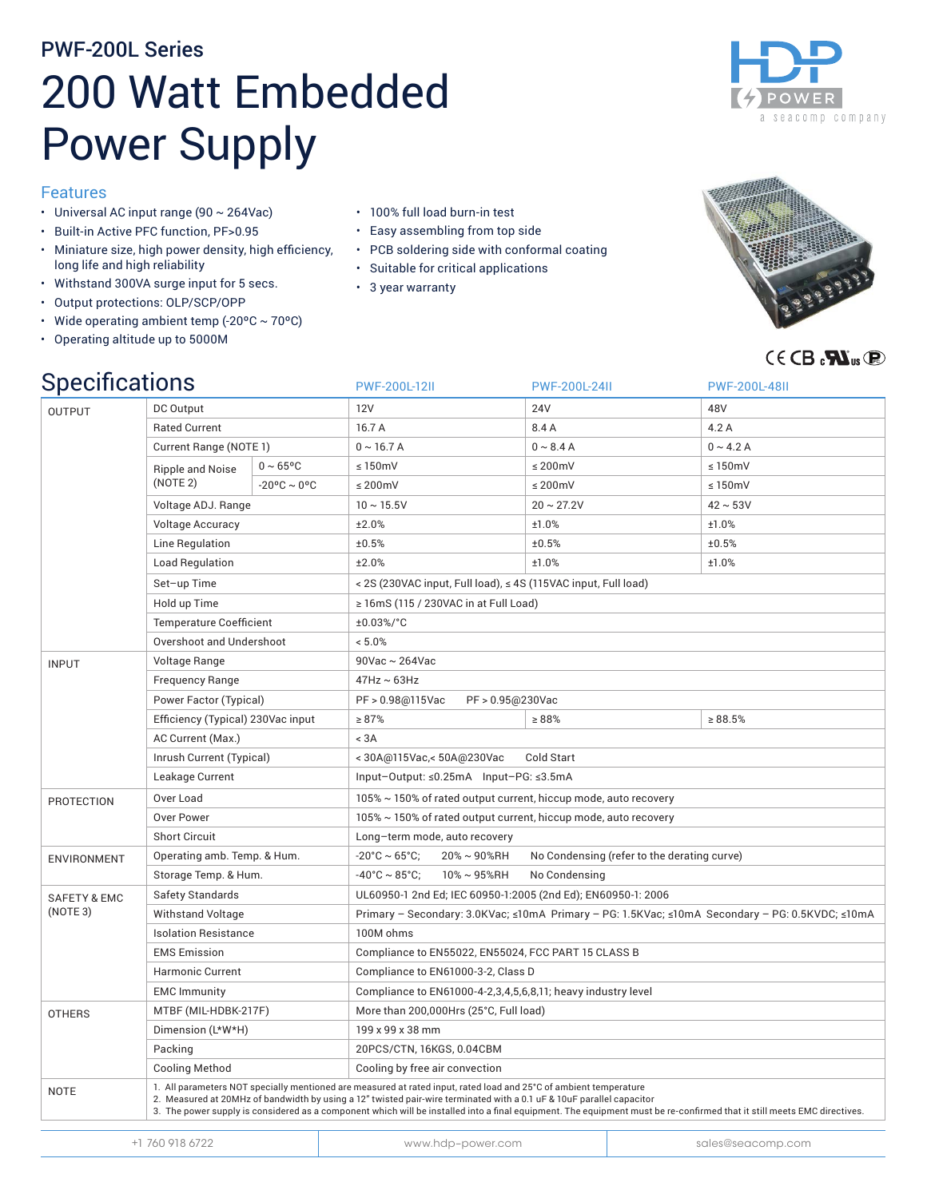# PWF-200L Series 200 Watt Embedded Power Supply

### Features

- Universal AC input range (90  $\sim$  264Vac)
- • Built-in Active PFC function, PF>0.95
- • Miniature size, high power density, high efficiency, long life and high reliability
- • Withstand 300VA surge input for 5 secs.
- • Output protections: OLP/SCP/OPP
- Wide operating ambient temp (-20°C  $\sim$  70°C)
- • Operating altitude up to 5000M

- • 100% full load burn-in test
- • Easy assembling from top side
- • PCB soldering side with conformal coating
- • Suitable for critical applications
- 3 year warranty





# $G \in \mathsf{CB}$  and  $\mathsf{CB}$  and  $\mathsf{CB}$

| <b>Specifications</b>               |                                                                                                                                                                                                                                                                                                                                                                                                                       |                       | PWF-200L-12II                      |                                                                                                 | <b>PWF-200L-24II</b> |  | <b>PWF-200L-48II</b> |  |  |
|-------------------------------------|-----------------------------------------------------------------------------------------------------------------------------------------------------------------------------------------------------------------------------------------------------------------------------------------------------------------------------------------------------------------------------------------------------------------------|-----------------------|------------------------------------|-------------------------------------------------------------------------------------------------|----------------------|--|----------------------|--|--|
| <b>OUTPUT</b>                       | DC Output                                                                                                                                                                                                                                                                                                                                                                                                             |                       | 12V                                |                                                                                                 | <b>24V</b>           |  | 48V                  |  |  |
|                                     | <b>Rated Current</b>                                                                                                                                                                                                                                                                                                                                                                                                  |                       | 16.7 A                             |                                                                                                 | 8.4 A                |  | 4.2 A                |  |  |
|                                     | Current Range (NOTE 1)                                                                                                                                                                                                                                                                                                                                                                                                |                       | $0 \sim 16.7$ A                    |                                                                                                 | $0 \sim 8.4 A$       |  | $0 \sim 4.2$ A       |  |  |
|                                     | <b>Ripple and Noise</b><br>(NOTE 2)                                                                                                                                                                                                                                                                                                                                                                                   | $0 \sim 65^{\circ}$ C | $\leq 150$ mV                      |                                                                                                 | $\leq$ 200mV         |  | $\leq 150$ mV        |  |  |
|                                     |                                                                                                                                                                                                                                                                                                                                                                                                                       | $-20$ °C ~ 0°C        | $\leq$ 200mV                       |                                                                                                 | $\leq$ 200mV         |  | $\leq 150$ mV        |  |  |
|                                     | Voltage ADJ. Range                                                                                                                                                                                                                                                                                                                                                                                                    |                       | $10 \sim 15.5$ V                   |                                                                                                 | $20 \sim 27.2V$      |  | $42 \sim 53V$        |  |  |
|                                     | <b>Voltage Accuracy</b>                                                                                                                                                                                                                                                                                                                                                                                               |                       | ±2.0%                              |                                                                                                 | ±1.0%                |  | ±1.0%                |  |  |
|                                     | Line Regulation                                                                                                                                                                                                                                                                                                                                                                                                       |                       | ±0.5%                              |                                                                                                 | ±0.5%                |  | ±0.5%                |  |  |
|                                     | <b>Load Regulation</b>                                                                                                                                                                                                                                                                                                                                                                                                |                       | ±2.0%                              |                                                                                                 | ±1.0%                |  | ±1.0%                |  |  |
|                                     | Set-up Time                                                                                                                                                                                                                                                                                                                                                                                                           |                       |                                    | < 2S (230VAC input, Full load), ≤ 4S (115VAC input, Full load)                                  |                      |  |                      |  |  |
|                                     | Hold up Time                                                                                                                                                                                                                                                                                                                                                                                                          |                       |                                    | $\geq$ 16mS (115 / 230VAC in at Full Load)                                                      |                      |  |                      |  |  |
|                                     | <b>Temperature Coefficient</b>                                                                                                                                                                                                                                                                                                                                                                                        |                       | ±0.03%/°C                          |                                                                                                 |                      |  |                      |  |  |
|                                     | Overshoot and Undershoot                                                                                                                                                                                                                                                                                                                                                                                              |                       | < 5.0%                             |                                                                                                 |                      |  |                      |  |  |
| <b>INPUT</b>                        | Voltage Range                                                                                                                                                                                                                                                                                                                                                                                                         |                       |                                    | $90$ Vac ~ 264Vac                                                                               |                      |  |                      |  |  |
|                                     | <b>Frequency Range</b>                                                                                                                                                                                                                                                                                                                                                                                                |                       | $47$ Hz ~ 63Hz                     |                                                                                                 |                      |  |                      |  |  |
|                                     | Power Factor (Typical)                                                                                                                                                                                                                                                                                                                                                                                                |                       |                                    | PF > 0.98@115Vac<br>PF > 0.95@230Vac                                                            |                      |  |                      |  |  |
|                                     | Efficiency (Typical) 230Vac input                                                                                                                                                                                                                                                                                                                                                                                     |                       | $\geq 87\%$                        |                                                                                                 | $\geq 88\%$          |  | $\ge 88.5\%$         |  |  |
|                                     | AC Current (Max.)                                                                                                                                                                                                                                                                                                                                                                                                     |                       | < 3A                               |                                                                                                 |                      |  |                      |  |  |
|                                     | Inrush Current (Typical)                                                                                                                                                                                                                                                                                                                                                                                              |                       |                                    | <30A@115Vac,<50A@230Vac<br>Cold Start                                                           |                      |  |                      |  |  |
|                                     | Leakage Current                                                                                                                                                                                                                                                                                                                                                                                                       |                       |                                    | Input-Output: ≤0.25mA Input-PG: ≤3.5mA                                                          |                      |  |                      |  |  |
| PROTECTION                          | Over Load                                                                                                                                                                                                                                                                                                                                                                                                             |                       |                                    | 105% ~ 150% of rated output current, hiccup mode, auto recovery                                 |                      |  |                      |  |  |
|                                     | <b>Over Power</b>                                                                                                                                                                                                                                                                                                                                                                                                     |                       |                                    | 105% ~ 150% of rated output current, hiccup mode, auto recovery                                 |                      |  |                      |  |  |
|                                     | <b>Short Circuit</b>                                                                                                                                                                                                                                                                                                                                                                                                  |                       |                                    | Long-term mode, auto recovery                                                                   |                      |  |                      |  |  |
| <b>ENVIRONMENT</b>                  | Operating amb. Temp. & Hum.                                                                                                                                                                                                                                                                                                                                                                                           |                       | $-20^{\circ}$ C ~ 65 $^{\circ}$ C; | 20%~90%RH<br>No Condensing (refer to the derating curve)                                        |                      |  |                      |  |  |
|                                     | Storage Temp. & Hum.                                                                                                                                                                                                                                                                                                                                                                                                  |                       | $-40^{\circ}$ C ~ 85°C:            | $10\% \sim 95\%$ RH<br>No Condensing                                                            |                      |  |                      |  |  |
| <b>SAFETY &amp; EMC</b><br>(NOTE 3) | Safety Standards                                                                                                                                                                                                                                                                                                                                                                                                      |                       |                                    | UL60950-1 2nd Ed; IEC 60950-1:2005 (2nd Ed); EN60950-1: 2006                                    |                      |  |                      |  |  |
|                                     | <b>Withstand Voltage</b>                                                                                                                                                                                                                                                                                                                                                                                              |                       |                                    | Primary - Secondary: 3.0KVac; ≤10mA Primary - PG: 1.5KVac; ≤10mA Secondary - PG: 0.5KVDC; ≤10mA |                      |  |                      |  |  |
|                                     | <b>Isolation Resistance</b>                                                                                                                                                                                                                                                                                                                                                                                           |                       | 100M ohms                          |                                                                                                 |                      |  |                      |  |  |
|                                     | <b>EMS Emission</b>                                                                                                                                                                                                                                                                                                                                                                                                   |                       |                                    | Compliance to EN55022, EN55024, FCC PART 15 CLASS B                                             |                      |  |                      |  |  |
|                                     | <b>Harmonic Current</b>                                                                                                                                                                                                                                                                                                                                                                                               |                       |                                    | Compliance to EN61000-3-2, Class D                                                              |                      |  |                      |  |  |
|                                     | <b>EMC Immunity</b>                                                                                                                                                                                                                                                                                                                                                                                                   |                       |                                    | Compliance to EN61000-4-2,3,4,5,6,8,11; heavy industry level                                    |                      |  |                      |  |  |
| <b>OTHERS</b>                       | MTBF (MIL-HDBK-217F)                                                                                                                                                                                                                                                                                                                                                                                                  |                       |                                    | More than 200,000Hrs (25°C, Full load)                                                          |                      |  |                      |  |  |
|                                     | Dimension (L*W*H)                                                                                                                                                                                                                                                                                                                                                                                                     |                       |                                    | 199 x 99 x 38 mm                                                                                |                      |  |                      |  |  |
|                                     | Packing                                                                                                                                                                                                                                                                                                                                                                                                               |                       |                                    | 20PCS/CTN, 16KGS, 0.04CBM                                                                       |                      |  |                      |  |  |
|                                     | <b>Cooling Method</b>                                                                                                                                                                                                                                                                                                                                                                                                 |                       |                                    | Cooling by free air convection                                                                  |                      |  |                      |  |  |
| <b>NOTE</b>                         | 1. All parameters NOT specially mentioned are measured at rated input, rated load and 25°C of ambient temperature<br>2. Measured at 20MHz of bandwidth by using a 12" twisted pair-wire terminated with a 0.1 uF & 10uF parallel capacitor<br>3. The power supply is considered as a component which will be installed into a final equipment. The equipment must be re-confirmed that it still meets EMC directives. |                       |                                    |                                                                                                 |                      |  |                      |  |  |
| +1 760 918 6722                     |                                                                                                                                                                                                                                                                                                                                                                                                                       |                       |                                    | www.hdp-power.com                                                                               |                      |  | sales@seacomp.com    |  |  |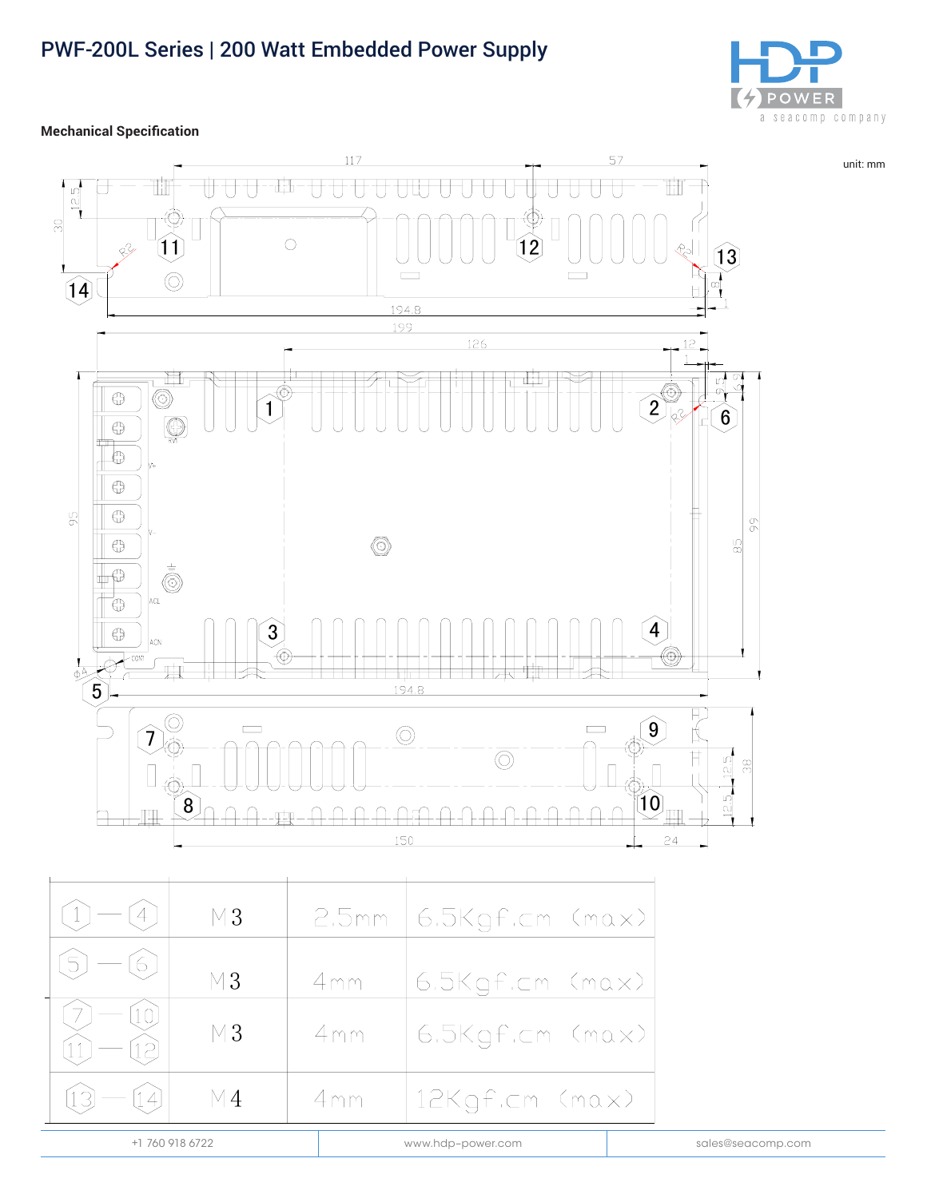# PWF-200L Series | 200 Watt Embedded Power Supply



unit: mm

**Mechanical Specification** 



| $M_3$           |     | 2.5mm   6.5Kgf.cm (max) |                   |
|-----------------|-----|-------------------------|-------------------|
| $M_3$           | 4mm | 6.5Kgf.cm (max)         |                   |
| $M_3$           | 4mm | 6.5Kgf.cm (max)         |                   |
| M4              | 4mm | 12Kgf.cm (max)          |                   |
| +1 760 918 6722 |     | www.hdp-power.com       | sales@seacomp.com |